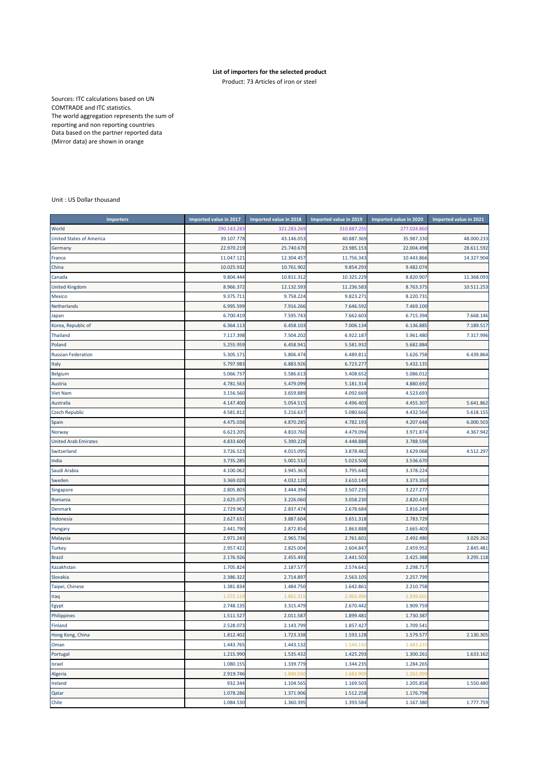## **List of importers for the selected product**

Product: 73 Articles of iron or steel

Sources: ITC calculations based on UN COMTRADE and ITC statistics. The world aggregation represents the sum of reporting and non reporting countries Data based on the partner reported data (Mirror data) are shown in orange

## Unit : US Dollar thousand

| <b>Importers</b>                | Imported value in 2017 | Imported value in 2018 | Imported value in 2019 | Imported value in 2020 | Imported value in 2021 |
|---------------------------------|------------------------|------------------------|------------------------|------------------------|------------------------|
| World                           | 290.143.28             | 321.283.269            | 310.887.25             | 277.024.86             |                        |
| <b>United States of America</b> | 39.107.778             | 43.146.053             | 40.887.369             | 35.987.330             | 48.000.233             |
| Germany                         | 22.970.219             | 25.740.670             | 23.985.153             | 22.004.498             | 28.611.592             |
| France                          | 11.047.12              | 12.304.457             | 11.756.343             | 10.443.866             | 14.327.904             |
| China                           | 10.025.932             | 10.761.902             | 9.854.293              | 9.482.074              |                        |
| Canada                          | 9.804.444              | 10.811.312             | 10.325.229             | 8.820.90               | 11.368.093             |
| <b>United Kingdom</b>           | 8.966.372              | 12.132.593             | 11.236.583             | 8.763.375              | 10.511.253             |
| Mexico                          | 9.375.711              | 9.758.224              | 9.823.271              | 8.220.73               |                        |
| Netherlands                     | 6.995.599              | 7.916.266              | 7.646.592              | 7.469.100              |                        |
| Japan                           | 6.700.419              | 7.595.743              | 7.662.603              | 6.715.39               | 7.668.146              |
| Korea, Republic of              | 6.364.113              | 6.458.103              | 7.006.134              | 6.136.885              | 7.189.517              |
| Thailand                        | 7.117.398              | 7.504.202              | 6.922.187              | 5.961.480              | 7.317.996              |
| Poland                          | 5.255.959              | 6.458.941              | 5.581.932              | 5.682.884              |                        |
| <b>Russian Federation</b>       | 5.305.171              | 5.806.474              | 6.489.811              | 5.626.758              | 6.439.864              |
| Italy                           | 5.797.983              | 6.883.926              | 6.723.277              | 5.432.135              |                        |
| Belgium                         | 5.066.737              | 5.586.613              | 5.408.652              | 5.086.012              |                        |
| Austria                         | 4.781.563              | 5.479.099              | 5.181.314              | 4.880.692              |                        |
| <b>Viet Nam</b>                 | 3.156.560              | 3.659.889              | 4.092.669              | 4.523.693              |                        |
| Australia                       | 4.147.400              | 5.054.515              | 4.496.403              | 4.455.307              | 5.641.862              |
| <b>Czech Republic</b>           | 4.581.81               | 5.216.637              | 5.080.666              | 4.432.56               | 5.618.155              |
| Spain                           | 4.475.038              | 4.870.285              | 4.782.193              | 4.207.648              | 6.000.503              |
| Norway                          | 6.623.205              | 4.810.760              | 4.479.094              | 3.971.874              | 4.367.942              |
| <b>United Arab Emirates</b>     | 4.833.600              | 5.390.228              | 4.448.888              | 3.788.598              |                        |
| Switzerland                     | 3.726.523              | 4.015.095              | 3.878.482              | 3.629.068              | 4.512.297              |
| India                           | 3.735.28               | 5.001.532              | 5.023.508              | 3.536.670              |                        |
| Saudi Arabia                    | 4.100.062              | 3.945.363              | 3.795.640              | 3.378.224              |                        |
| Sweden                          | 3.369.020              | 4.032.120              | 3.610.149              | 3.373.350              |                        |
| Singapore                       | 2.805.803              | 3.444.394              | 3.507.235              | 3.227.277              |                        |
| Romania                         | 2.625.07               | 3.226.060              | 3.058.230              | 2.820.419              |                        |
| Denmark                         | 2.729.962              | 2.837.474              | 2.678.684              | 2.816.249              |                        |
| Indonesia                       | 2.627.631              | 3.887.604              | 3.651.318              | 2.783.729              |                        |
| Hungary                         | 2.441.790              | 2.872.854              | 2.863.888              | 2.665.403              |                        |
| Malaysia                        | 2.971.243              | 2.965.736              | 2.761.601              | 2.492.480              | 3.029.262              |
| <b>Turkey</b>                   | 2.957.422              | 2.825.004              | 2.604.847              | 2.459.95               | 2.845.481              |
| <b>Brazil</b>                   | 2.176.926              | 2.455.493              | 2.441.503              | 2.425.388              | 3.295.118              |
| Kazakhstan                      | 1.705.824              | 2.187.577              | 2.574.641              | 2.298.717              |                        |
| Slovakia                        | 2.386.322              | 2.714.897              | 2.563.105              | 2.257.799              |                        |
| Taipei, Chinese                 | 1.381.834              | 1.484.750              | 1.642.861              | 2.210.758              |                        |
| Iraq                            | 1.572.11               | 1.801.31               | 2.063.49               | 1.939.60               |                        |
| Egypt                           | 2.748.135              | 3.315.479              | 2.670.442              | 1.909.759              |                        |
| Philippines                     | 1.511.527              | 2.011.587              | 1.899.481              | 1.730.387              |                        |
| Finland                         | 2.528.073              | 2.143.799              | 1.857.427              | 1.709.541              |                        |
| Hong Kong, China                | 1.812.402              | 1.723.338              | 1.593.128              | 1.579.577              | 2.130.305              |
| Oman                            | 1.443.765              | 1.443.132              | 1.544.192              | 1.483.23               |                        |
| Portugal                        | 1.215.990              | 1.535.432              | 1.425.293              | 1.300.261              | 1.633.162              |
| Israel                          | 1.080.155              | 1.339.779              | 1.344.235              | 1.284.265              |                        |
| Algeria                         | 2.919.746              | 1.840.93               | 1.683.909              | 1.262.09               |                        |
| Ireland                         | 932.344                | 1.104.565              | 1.169.503              | 1.205.858              | 1.550.480              |
| Qatar                           | 1.078.286              | 1.371.906              | 1.512.258              | 1.176.798              |                        |
| Chile                           | 1.084.530              | 1.360.395              | 1.393.584              | 1.167.380              | 1.777.759              |
|                                 |                        |                        |                        |                        |                        |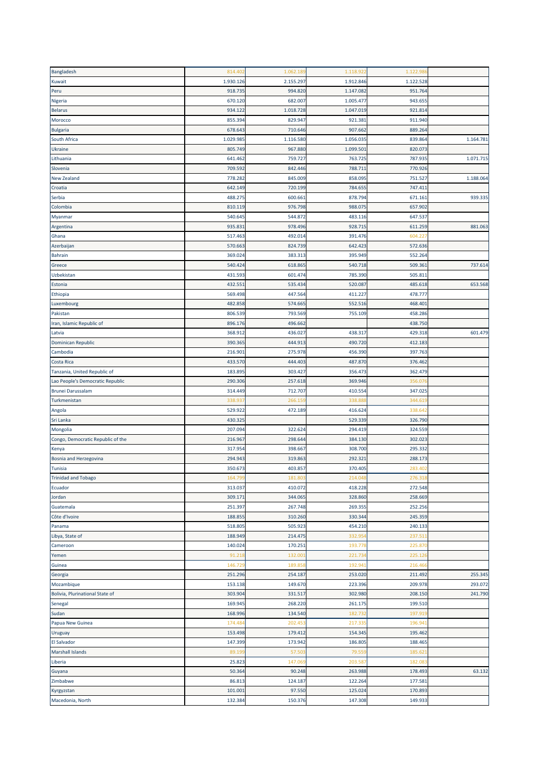| Bangladesh                        | 814.402            | 1.062.189          | 1.118.922 | 1.122.98  |           |
|-----------------------------------|--------------------|--------------------|-----------|-----------|-----------|
| Kuwait                            | 1.930.126          | 2.155.297          | 1.912.846 | 1.122.528 |           |
| Peru                              | 918.735            | 994.820            | 1.147.082 | 951.764   |           |
| Nigeria                           | 670.120            | 682.007            | 1.005.477 | 943.655   |           |
| <b>Belarus</b>                    | 934.122            | 1.018.728          | 1.047.019 | 921.814   |           |
| Morocco                           | 855.394            | 829.947            | 921.381   | 911.940   |           |
| <b>Bulgaria</b>                   | 678.643            | 710.646            | 907.662   | 889.264   |           |
| South Africa                      | 1.029.98           | 1.116.580          | 1.056.035 | 839.864   | 1.164.781 |
| Ukraine                           | 805.749            | 967.880            | 1.099.501 | 820.073   |           |
| Lithuania                         | 641.462            | 759.727            | 763.725   | 787.93    | 1.071.715 |
| Slovenia                          | 709.592            | 842.446            | 788.711   | 770.926   |           |
| <b>New Zealand</b>                | 778.282            | 845.009            | 858.095   | 751.527   | 1.188.064 |
| Croatia                           | 642.149            | 720.199            | 784.655   | 747.41:   |           |
| Serbia                            | 488.275            | 600.661            | 878.794   | 671.16:   | 939.335   |
|                                   | 810.119            | 976.798            | 988.075   | 657.902   |           |
| Colombia                          |                    |                    |           |           |           |
| Myanmar                           | 540.645<br>935.83: | 544.872<br>978.496 | 483.116   | 647.537   |           |
| Argentina                         |                    |                    | 928.715   | 611.259   | 881.063   |
| Ghana                             | 517.463            | 492.014            | 391.476   | 604.22    |           |
| Azerbaijan                        | 570.663            | 824.739            | 642.423   | 572.636   |           |
| <b>Bahrain</b>                    | 369.024            | 383.313            | 395.949   | 552.264   |           |
| Greece                            | 540.424            | 618.86             | 540.718   | 509.36:   | 737.614   |
| Uzbekistan                        | 431.593            | 601.474            | 785.390   | 505.81    |           |
| Estonia                           | 432.55             | 535.434            | 520.087   | 485.618   | 653.568   |
| Ethiopia                          | 569.498            | 447.564            | 411.227   | 478.777   |           |
| Luxembourg                        | 482.858            | 574.665            | 552.516   | 468.401   |           |
| Pakistan                          | 806.539            | 793.569            | 755.109   | 458.286   |           |
| Iran, Islamic Republic of         | 896.176            | 496.662            |           | 438.750   |           |
| Latvia                            | 368.912            | 436.027            | 438.317   | 429.318   | 601.479   |
| Dominican Republic                | 390.365            | 444.913            | 490.720   | 412.183   |           |
| Cambodia                          | 216.90:            | 275.978            | 456.390   | 397.763   |           |
| Costa Rica                        | 433.570            | 444.40             | 487.870   | 376.462   |           |
| Tanzania, United Republic of      | 183.89             | 303.427            | 356.473   | 362.479   |           |
| Lao People's Democratic Republic  | 290.306            | 257.618            | 369.946   | 356.07    |           |
| <b>Brunei Darussalam</b>          | 314.449            | 712.707            | 410.554   | 347.025   |           |
| Turkmenistan                      | 338.93             | 266.15             | 338.88    | 344.61    |           |
| Angola                            | 529.922            | 472.189            | 416.624   | 338.64    |           |
| Sri Lanka                         | 430.325            |                    | 529.339   | 326.790   |           |
| Mongolia                          | 207.094            | 322.624            | 294.419   | 324.559   |           |
| Congo, Democratic Republic of the | 216.967            | 298.644            | 384.130   | 302.023   |           |
| Kenya                             | 317.954            | 398.667            | 308.700   | 295.332   |           |
| Bosnia and Herzegovina            | 294.943            | 319.863            | 292.321   | 288.173   |           |
| <b>Tunisia</b>                    | 350.673            | 403.857            | 370.405   | 283.402   |           |
| <b>Trinidad and Tobago</b>        | 164.799            | 181.80             | 214.048   | 276.31    |           |
| Ecuador                           | 313.037            | 410.072            | 418.228   | 272.548   |           |
| Jordan                            | 309.17:            | 344.065            | 328.860   | 258.669   |           |
| Guatemala                         | 251.397            | 267.748            | 269.355   | 252.256   |           |
| Côte d'Ivoire                     | 188.855            | 310.260            | 330.344   | 245.359   |           |
|                                   |                    |                    |           |           |           |
| Panama                            | 518.805            | 505.923            | 454.210   | 240.133   |           |
| Libya, State of                   | 188.949            | 214.475            | 332.95    | 237.51    |           |
| Cameroon                          | 140.024            | 170.251            | 193.778   | 225.870   |           |
| Yemen                             | 91.218             | 132.00             | 221.734   | 225.126   |           |
| Guinea                            | 146.72             | 189.85             | 192.941   | 216.466   |           |
| Georgia                           | 251.296            | 254.187            | 253.020   | 211.492   | 255.345   |
| Mozambique                        | 153.138            | 149.670            | 223.396   | 209.978   | 293.072   |
| Bolivia, Plurinational State of   | 303.904            | 331.517            | 302.980   | 208.150   | 241.790   |
| Senegal                           | 169.945            | 268.220            | 261.175   | 199.510   |           |
| Sudan                             | 168.996            | 134.540            | 182.732   | 197.919   |           |
| Papua New Guinea                  | 174.48             | 202.45             | 217.335   | 196.94:   |           |
| Uruguay                           | 153.498            | 179.412            | 154.345   | 195.462   |           |
| <b>El Salvador</b>                | 147.399            | 173.942            | 186.805   | 188.465   |           |
| <b>Marshall Islands</b>           | 89.19              | 57.50              | 79.559    | 185.62    |           |
| Liberia                           | 25.823             | 147.06             | 203.587   | 182.08    |           |
| Guyana                            | 50.364             | 90.248             | 263.988   | 178.493   | 63.132    |
| Zimbabwe                          | 86.813             | 124.187            | 122.264   | 177.581   |           |
| Kyrgyzstan                        | 101.001            | 97.550             | 125.024   | 170.893   |           |
| Macedonia, North                  | 132.384            | 150.376            | 147.308   | 149.933   |           |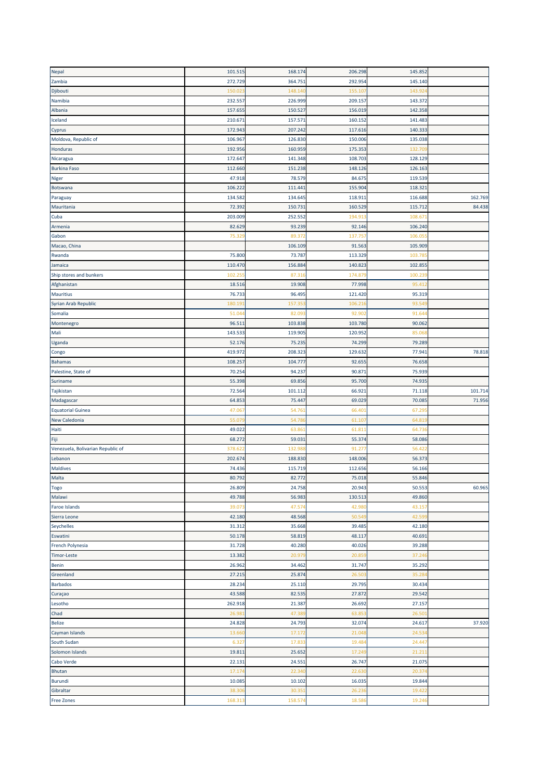| Nepal                             | 101.515 | 168.174            | 206.298 | 145.852           |         |
|-----------------------------------|---------|--------------------|---------|-------------------|---------|
| Zambia                            | 272.729 | 364.751            | 292.954 | 145.140           |         |
| Djibouti                          | 150.02  | 148.14             | 155.10  | 143.92            |         |
| Namibia                           | 232.557 | 226.999            | 209.157 | 143.372           |         |
| Albania                           | 157.655 | 150.527            | 156.019 | 142.358           |         |
| Iceland                           | 210.67  | 157.571            | 160.152 | 141.483           |         |
| Cyprus                            | 172.943 | 207.242            | 117.616 | 140.333           |         |
| Moldova, Republic of              | 106.967 | 126.830            | 150.006 | 135.038           |         |
| Honduras                          | 192.956 | 160.959            | 175.353 | 132.70            |         |
|                                   |         |                    |         |                   |         |
| Nicaragua                         | 172.647 | 141.348<br>151.238 | 108.703 | 128.129<br>126.16 |         |
| <b>Burkina Faso</b>               | 112.660 |                    | 148.126 |                   |         |
| Niger                             | 47.918  | 78.579             | 84.675  | 119.539           |         |
| Botswana                          | 106.222 | 111.44             | 155.904 | 118.32            |         |
| Paraguay                          | 134.582 | 134.645            | 118.911 | 116.688           | 162.769 |
| Mauritania                        | 72.39   | 150.73             | 160.529 | 115.712           | 84.438  |
| Cuba                              | 203.009 | 252.552            | 194.91  | 108.67            |         |
| Armenia                           | 82.629  | 93.239             | 92.146  | 106.240           |         |
| Gabon                             | 75.32   | 89.37              | 137.75  | 106.05            |         |
| Macao, China                      |         | 106.109            | 91.563  | 105.909           |         |
| Rwanda                            | 75.800  | 73.787             | 113.329 | 103.78            |         |
| Jamaica                           | 110.470 | 156.884            | 140.823 | 102.855           |         |
| Ship stores and bunkers           | 102.25  | 87.31              | 174.87  | 100.23            |         |
| Afghanistan                       | 18.516  | 19.908             | 77.998  | 95.41             |         |
| <b>Mauritius</b>                  | 76.733  | 96.495             | 121.420 | 95.319            |         |
| Syrian Arab Republic              | 180.19  | 157.35             | 106.216 | 93.54             |         |
| Somalia                           | 51.04   | 82.09              | 92.90   | 91.64             |         |
| Montenegro                        | 96.51   | 103.838            | 103.780 | 90.062            |         |
| Mali                              | 143.533 | 119.905            | 120.952 | 85.06             |         |
| Uganda                            | 52.176  | 75.235             | 74.299  | 79.289            |         |
| Congo                             | 419.972 | 208.323            | 129.632 | 77.941            | 78.818  |
| <b>Bahamas</b>                    | 108.257 | 104.777            | 92.655  | 76.658            |         |
| Palestine, State of               | 70.254  | 94.237             | 90.871  | 75.939            |         |
| Suriname                          | 55.398  | 69.856             | 95.700  | 74.93             |         |
| Tajikistan                        | 72.564  | 101.112            | 66.921  | 71.118            | 101.714 |
| Madagascar                        | 64.853  | 75.447             | 69.029  | 70.08             | 71.956  |
| <b>Equatorial Guinea</b>          | 47.06   | 54.76              | 66.401  | 67.29             |         |
| New Caledonia                     | 55.07   | 54.78              | 61.10   | 64.81             |         |
| Haiti                             | 49.022  | 63.86              | 61.811  | 64.73             |         |
| Fiji                              | 68.272  | 59.03              | 55.374  | 58.086            |         |
| Venezuela, Bolivarian Republic of | 378.62  | 132.98             | 91.27   | 56.42             |         |
| Lebanon                           | 202.67  | 188.830            | 148.006 | 56.373            |         |
| <b>Maldives</b>                   | 74.436  | 115.719            | 112.656 | 56.166            |         |
| Malta                             | 80.792  | 82.772             | 75.018  | 55.846            |         |
| <b>Togo</b>                       | 26.809  | 24.758             | 20.943  | 50.553            | 60.965  |
| Malawi                            | 49.788  | 56.983             | 130.513 | 49.860            |         |
| <b>Faroe Islands</b>              | 39.07   | 47.574             | 42.980  | 43.157            |         |
| Sierra Leone                      | 42.180  | 48.568             | 50.549  | 42.59             |         |
| <b>Seychelles</b>                 | 31.312  | 35.668             | 39.485  | 42.180            |         |
| Eswatini                          | 50.178  | 58.819             | 48.117  | 40.691            |         |
| French Polynesia                  | 31.728  | 40.280             | 40.026  | 39.288            |         |
| <b>Timor-Leste</b>                | 13.382  | 20.97              | 20.859  | 37.246            |         |
| <b>Benin</b>                      | 26.962  | 34.462             | 31.747  | 35.292            |         |
| Greenland                         | 27.215  | 25.874             | 26.50   | 35.28             |         |
| <b>Barbados</b>                   | 28.234  | 25.110             | 29.795  | 30.434            |         |
| Curaçao                           | 43.588  | 82.535             | 27.872  | 29.542            |         |
| Lesotho                           | 262.918 | 21.387             | 26.692  | 27.157            |         |
| Chad                              | 26.98   | 47.38              | 63.85   | 26.50             |         |
| <b>Belize</b>                     | 24.828  | 24.793             | 32.074  | 24.617            | 37.920  |
| Cayman Islands                    | 13.660  | 17.172             | 21.048  | 24.53             |         |
| South Sudan                       |         | 17.83              | 19.484  | 24.447            |         |
|                                   | 6.327   |                    |         |                   |         |
| Solomon Islands                   | 19.811  | 25.652             | 17.249  | 21.21:            |         |
| Cabo Verde                        | 22.131  | 24.551             | 26.747  | 21.075            |         |
| <b>Bhutan</b>                     | 17.17   | 22.34              | 22.630  | 20.37             |         |
| <b>Burundi</b>                    | 10.085  | 10.102             | 16.035  | 19.844            |         |
| Gibraltar                         | 38.30   | 30.35              | 26.236  | 19.42             |         |